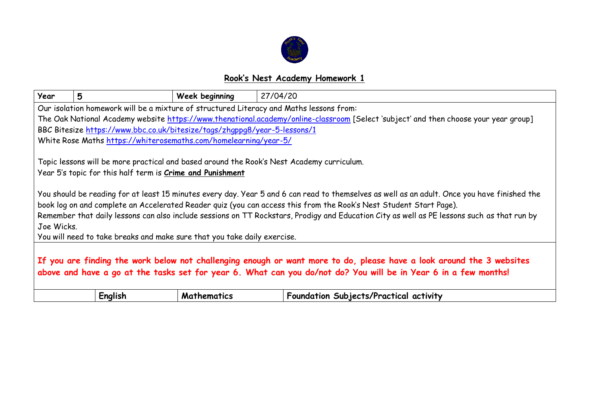

## **Rook's Nest Academy Homework 1**

| Year                                                                                                                                 | 5                                                                                                                                                                                                                                                                                                                                                                                                                                                                                             | Week beginning     | 27/04/20                                                                                                                                                                                                                                 |  |  |
|--------------------------------------------------------------------------------------------------------------------------------------|-----------------------------------------------------------------------------------------------------------------------------------------------------------------------------------------------------------------------------------------------------------------------------------------------------------------------------------------------------------------------------------------------------------------------------------------------------------------------------------------------|--------------------|------------------------------------------------------------------------------------------------------------------------------------------------------------------------------------------------------------------------------------------|--|--|
| Our isolation homework will be a mixture of structured Literacy and Maths lessons from:                                              |                                                                                                                                                                                                                                                                                                                                                                                                                                                                                               |                    |                                                                                                                                                                                                                                          |  |  |
| The Oak National Academy website https://www.thenational.academy/online-classroom [Select 'subject' and then choose your year group] |                                                                                                                                                                                                                                                                                                                                                                                                                                                                                               |                    |                                                                                                                                                                                                                                          |  |  |
|                                                                                                                                      | BBC Bitesize https://www.bbc.co.uk/bitesize/tags/zhqppq8/year-5-lessons/1                                                                                                                                                                                                                                                                                                                                                                                                                     |                    |                                                                                                                                                                                                                                          |  |  |
|                                                                                                                                      | White Rose Maths https://whiterosemaths.com/homelearning/year-5/                                                                                                                                                                                                                                                                                                                                                                                                                              |                    |                                                                                                                                                                                                                                          |  |  |
|                                                                                                                                      | Topic lessons will be more practical and based around the Rook's Nest Academy curriculum.<br>Year 5's topic for this half term is <b>Crime and Punishment</b>                                                                                                                                                                                                                                                                                                                                 |                    |                                                                                                                                                                                                                                          |  |  |
| Joe Wicks.                                                                                                                           | You should be reading for at least 15 minutes every day. Year 5 and 6 can read to themselves as well as an adult. Once you have finished the<br>book log on and complete an Accelerated Reader quiz (you can access this from the Rook's Nest Student Start Page).<br>Remember that daily lessons can also include sessions on TT Rockstars, Prodigy and Education City as well as PE lessons such as that run by<br>You will need to take breaks and make sure that you take daily exercise. |                    |                                                                                                                                                                                                                                          |  |  |
|                                                                                                                                      |                                                                                                                                                                                                                                                                                                                                                                                                                                                                                               |                    | If you are finding the work below not challenging enough or want more to do, please have a look around the 3 websites<br>above and have a go at the tasks set for year 6. What can you do/not do? You will be in Year 6 in a few months! |  |  |
|                                                                                                                                      | English                                                                                                                                                                                                                                                                                                                                                                                                                                                                                       | <b>Mathematics</b> | Foundation Subjects/Practical activity                                                                                                                                                                                                   |  |  |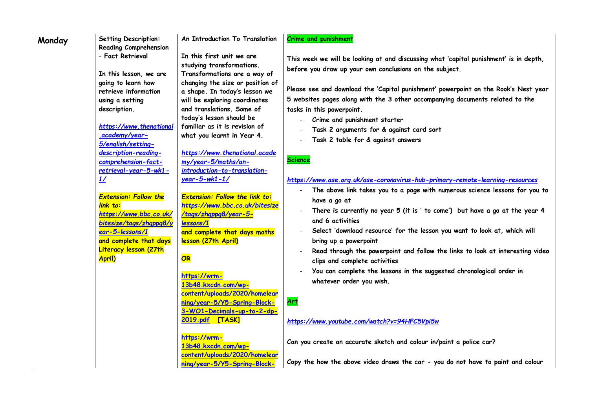| Monday | <b>Setting Description:</b>                  | An Introduction To Translation                                   | <b>Crime and punishment</b>                                                           |
|--------|----------------------------------------------|------------------------------------------------------------------|---------------------------------------------------------------------------------------|
|        | <b>Reading Comprehension</b>                 |                                                                  |                                                                                       |
|        | - Fact Retrieval                             | In this first unit we are                                        | This week we will be looking at and discussing what 'capital punishment' is in depth, |
|        |                                              | studying transformations.                                        | before you draw up your own conclusions on the subject.                               |
|        | In this lesson, we are<br>going to learn how | Transformations are a way of<br>changing the size or position of |                                                                                       |
|        | retrieve information                         | a shape. In today's lesson we                                    | Please see and download the 'Capital punishment' powerpoint on the Rook's Nest year   |
|        | using a setting                              | will be exploring coordinates                                    | 5 websites pages along with the 3 other accompanying documents related to the         |
|        | description.                                 | and translations. Some of                                        | tasks in this powerpoint.                                                             |
|        |                                              | today's lesson should be                                         | Crime and punishment starter                                                          |
|        | https://www.thenational                      | familiar as it is revision of                                    | Task 2 arguments for & against card sort                                              |
|        | .academy/year-                               | what you learnt in Year 4.                                       | Task 2 table for & against answers                                                    |
|        | 5/english/setting-                           |                                                                  |                                                                                       |
|        | description-reading-                         | https://www.thenational.acade                                    | <b>Science</b>                                                                        |
|        | comprehension-fact-                          | my/year-5/maths/an-                                              |                                                                                       |
|        | retrieval-year-5-wk1-                        | introduction-to-translation-<br>$year-5-wk1-1/$                  |                                                                                       |
|        | 1/                                           |                                                                  | https://www.ase.org.uk/ase-coronavirus-hub-primary-remote-learning-resources          |
|        | <b>Extension: Follow the</b>                 | <b>Extension: Follow the link to:</b>                            | The above link takes you to a page with numerous science lessons for you to           |
|        | link to:                                     | https://www.bbc.co.uk/bitesize                                   | have a go at                                                                          |
|        | https://www.bbc.co.uk/                       | /tags/zhgppg8/year-5-                                            | There is currently no year 5 (it is ' to come') but have a go at the year 4           |
|        | bitesize/tags/zhgppg8/y                      | lessons/1                                                        | and 6 activities                                                                      |
|        | ear-5-lessons/1                              | and complete that days maths                                     | Select 'download resource' for the lesson you want to look at, which will             |
|        | and complete that days                       | lesson (27th April)                                              | bring up a powerpoint                                                                 |
|        | <b>Literacy lesson (27th</b>                 |                                                                  | Read through the powerpoint and follow the links to look at interesting video         |
|        | <b>April)</b>                                | OR                                                               | clips and complete activities                                                         |
|        |                                              |                                                                  | You can complete the lessons in the suggested chronological order in                  |
|        |                                              | https://wrm-<br>13b48.kxcdn.com/wp-                              | whatever order you wish.                                                              |
|        |                                              | content/uploads/2020/homelear                                    |                                                                                       |
|        |                                              | ning/year-5/Y5-Spring-Block-                                     | <u>Art</u>                                                                            |
|        |                                              | 3-WO1-Decimals-up-to-2-dp-                                       |                                                                                       |
|        |                                              | 2019.pdf [TASK]                                                  | https://www.youtube.com/watch?v=94HFC5Vpi5w                                           |
|        |                                              |                                                                  |                                                                                       |
|        |                                              | https://wrm-                                                     | Can you create an accurate sketch and colour in/paint a police car?                   |
|        |                                              | 13b48.kxcdn.com/wp-                                              |                                                                                       |
|        |                                              | content/uploads/2020/homelear                                    |                                                                                       |
|        |                                              | ning/year-5/Y5-Spring-Block-                                     | Copy the how the above video draws the car - you do not have to paint and colour      |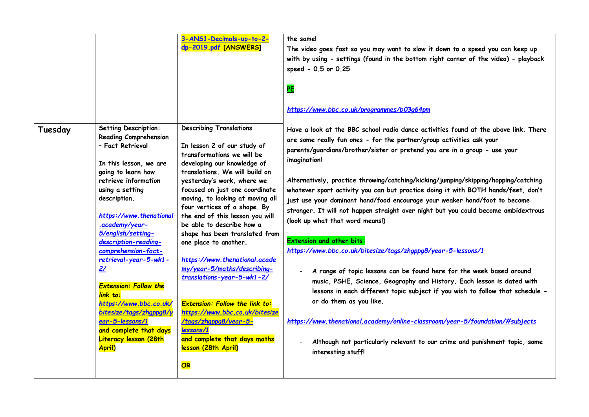| <b>Describing Translations</b><br><b>Setting Description:</b><br>Tuesday<br>Have a look at the BBC school radio dance activities found at the above link. There<br><b>Reading Comprehension</b><br>are some really fun ones - for the partner/group activities ask your<br>- Fact Retrieval<br>In lesson 2 of our study of<br>parents/guardians/brother/sister or pretend you are in a group - use your<br>transformations we will be<br>imagination!<br>developing our knowledge of<br>In this lesson, we are<br>translations. We will build on<br>going to learn how<br>Alternatively, practice throwing/catching/kicking/jumping/skipping/hopping/catching<br>retrieve information<br>yesterday's work, where we<br>focused on just one coordinate<br>using a setting<br>whatever sport activity you can but practice doing it with BOTH hands/feet, don't<br>moving, to looking at moving all<br>description.<br>just use your dominant hand/food encourage your weaker hand/foot to become<br>four vertices of a shape. By<br>stronger. It will not happen straight over night but you could become ambidextrous<br>https://www.thenational<br>the end of this lesson you will<br>(look up what that word means!)<br>.academy/year-<br>be able to describe how a<br>5/english/setting-<br>shape has been translated from<br><b>Extension and other bits:</b><br>description-reading-<br>one place to another.<br>https://www.bbc.co.uk/bitesize/tags/zhqppq8/year-5-lessons/1<br>comprehension-fact-<br>$retrieval-year-5-wk1-$<br>https://www.thenational.acade<br>my/year-5/maths/describing-<br>2/<br>A range of topic lessons can be found here for the week based around<br>translations-year-5-wk1-2/<br>music, PSHE, Science, Geography and History. Each lesson is dated with<br><b>Extension: Follow the</b><br>lessons in each different topic subject if you wish to follow that schedule -<br>link to:<br>or do them as you like.<br>https://www.bbc.co.uk/<br><b>Extension: Follow the link to:</b><br>bitesize/tags/zhgppg8/y<br>https://www.bbc.co.uk/bitesize<br>ear-5-lessons/1<br>/tags/zhgppg8/year-5-<br>https://www.thenational.academy/online-classroom/year-5/foundation/#subjects<br>lessons/1<br>and complete that days<br>and complete that days maths<br><b>Literacy lesson (28th</b><br>Although not particularly relevant to our crime and punishment topic, some<br>lesson (28th April)<br><b>April)</b><br>interesting stuff! |  | 3-ANS1-Decimals-up-to-2-<br>dp-2019.pdf [ANSWERS] | the same!<br>The video goes fast so you may want to slow it down to a speed you can keep up<br>with by using - settings (found in the bottom right corner of the video) - playback<br>speed - 0.5 or 0.25<br>PE<br>https://www.bbc.co.uk/programmes/b03q64pm |
|-------------------------------------------------------------------------------------------------------------------------------------------------------------------------------------------------------------------------------------------------------------------------------------------------------------------------------------------------------------------------------------------------------------------------------------------------------------------------------------------------------------------------------------------------------------------------------------------------------------------------------------------------------------------------------------------------------------------------------------------------------------------------------------------------------------------------------------------------------------------------------------------------------------------------------------------------------------------------------------------------------------------------------------------------------------------------------------------------------------------------------------------------------------------------------------------------------------------------------------------------------------------------------------------------------------------------------------------------------------------------------------------------------------------------------------------------------------------------------------------------------------------------------------------------------------------------------------------------------------------------------------------------------------------------------------------------------------------------------------------------------------------------------------------------------------------------------------------------------------------------------------------------------------------------------------------------------------------------------------------------------------------------------------------------------------------------------------------------------------------------------------------------------------------------------------------------------------------------------------------------------------------------------------------------------------------------------------------------------------------------------------------------------------------------------------------------------------------|--|---------------------------------------------------|--------------------------------------------------------------------------------------------------------------------------------------------------------------------------------------------------------------------------------------------------------------|
|                                                                                                                                                                                                                                                                                                                                                                                                                                                                                                                                                                                                                                                                                                                                                                                                                                                                                                                                                                                                                                                                                                                                                                                                                                                                                                                                                                                                                                                                                                                                                                                                                                                                                                                                                                                                                                                                                                                                                                                                                                                                                                                                                                                                                                                                                                                                                                                                                                                                   |  | OR                                                |                                                                                                                                                                                                                                                              |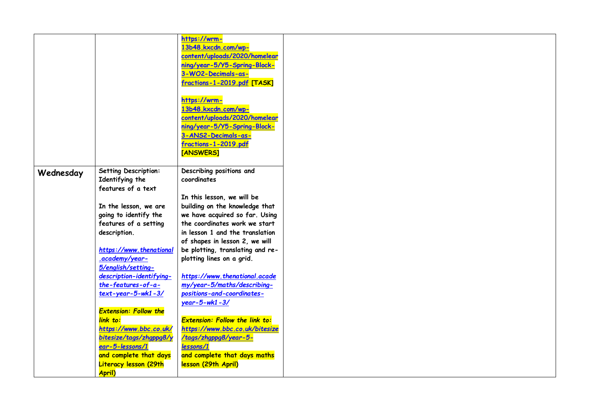|           |                              | https://wrm-                          |  |
|-----------|------------------------------|---------------------------------------|--|
|           |                              | 13b48.kxcdn.com/wp-                   |  |
|           |                              | content/uploads/2020/homelear         |  |
|           |                              | ning/year-5/Y5-Spring-Block-          |  |
|           |                              | 3-WO2-Decimals-as-                    |  |
|           |                              | fractions-1-2019.pdf [TASK]           |  |
|           |                              |                                       |  |
|           |                              |                                       |  |
|           |                              | https://wrm-<br>13b48.kxcdn.com/wp-   |  |
|           |                              |                                       |  |
|           |                              | content/uploads/2020/homelear         |  |
|           |                              | ning/year-5/Y5-Spring-Block-          |  |
|           |                              | 3-ANS2-Decimals-as-                   |  |
|           |                              | fractions-1-2019.pdf                  |  |
|           |                              | [ANSWERS]                             |  |
|           |                              |                                       |  |
| Wednesday | Setting Description:         | Describing positions and              |  |
|           | Identifying the              | coordinates                           |  |
|           | features of a text           |                                       |  |
|           |                              | In this lesson, we will be            |  |
|           | In the lesson, we are        | building on the knowledge that        |  |
|           | going to identify the        | we have acquired so far. Using        |  |
|           | features of a setting        | the coordinates work we start         |  |
|           | description.                 | in lesson 1 and the translation       |  |
|           |                              | of shapes in lesson 2, we will        |  |
|           | https://www.thenational      | be plotting, translating and re-      |  |
|           | .academy/year-               | plotting lines on a grid.             |  |
|           | 5/english/setting-           |                                       |  |
|           | description-identifying-     | https://www.thenational.acade         |  |
|           | the-features-of-a-           | my/year-5/maths/describing-           |  |
|           | $text$ -year-5-wk1-3/        | positions-and-coordinates-            |  |
|           |                              | $year-5-wk1-3/$                       |  |
|           | <b>Extension: Follow the</b> |                                       |  |
|           | link to:                     | <b>Extension: Follow the link to:</b> |  |
|           | https://www.bbc.co.uk/       | https://www.bbc.co.uk/bitesize        |  |
|           | bitesize/tags/zhgppg8/y      | /tags/zhqppq8/year-5-                 |  |
|           | ear-5-lessons/1              | lessons/1                             |  |
|           | and complete that days       | and complete that days maths          |  |
|           | <b>Literacy lesson (29th</b> | lesson (29th April)                   |  |
|           | <b>April)</b>                |                                       |  |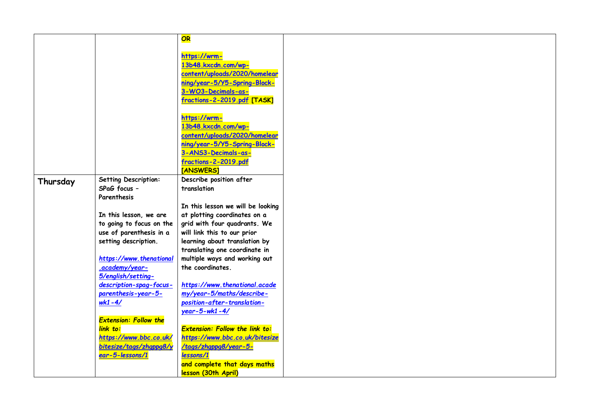|          |                                      | OR                                    |
|----------|--------------------------------------|---------------------------------------|
|          |                                      |                                       |
|          |                                      | https://wrm-                          |
|          |                                      | 13b48.kxcdn.com/wp-                   |
|          |                                      | content/uploads/2020/homelear         |
|          |                                      | ning/year-5/Y5-Spring-Block-          |
|          |                                      | 3-WO3-Decimals-as-                    |
|          |                                      | fractions-2-2019.pdf [TASK]           |
|          |                                      |                                       |
|          |                                      | https://wrm-                          |
|          |                                      | 13b48.kxcdn.com/wp-                   |
|          |                                      | content/uploads/2020/homelear         |
|          |                                      | ning/year-5/Y5-Spring-Block-          |
|          |                                      | 3-ANS3-Decimals-as-                   |
|          |                                      | fractions-2-2019.pdf                  |
|          |                                      | <b>TANSWERS1</b>                      |
|          |                                      | Describe position after               |
| Thursday | Setting Description:<br>SPaG focus - | translation                           |
|          |                                      |                                       |
|          | Parenthesis                          |                                       |
|          |                                      | In this lesson we will be looking     |
|          | In this lesson, we are               | at plotting coordinates on a          |
|          | to going to focus on the             | grid with four quadrants. We          |
|          | use of parenthesis in a              | will link this to our prior           |
|          | setting description.                 | learning about translation by         |
|          |                                      | translating one coordinate in         |
|          | https://www.thenational              | multiple ways and working out         |
|          | .academy/year-                       | the coordinates.                      |
|          | 5/english/setting-                   |                                       |
|          | description-spag-focus-              | https://www.thenational.acade         |
|          | parenthesis-year-5-                  | my/year-5/maths/describe-             |
|          | $wk1 - 4/$                           | position-after-translation-           |
|          |                                      | $year - 5 - wk1 - 4/$                 |
|          | <b>Extension: Follow the</b>         |                                       |
|          | link to:                             | <b>Extension: Follow the link to:</b> |
|          |                                      |                                       |
|          | https://www.bbc.co.uk/               | https://www.bbc.co.uk/bitesize        |
|          | bitesize/tags/zhqppg8/y              | /tags/zhgppg8/year-5-                 |
|          | ear-5-lessons/1                      | lessons/1                             |
|          |                                      | and complete that days maths          |
|          |                                      | lesson (30th April)                   |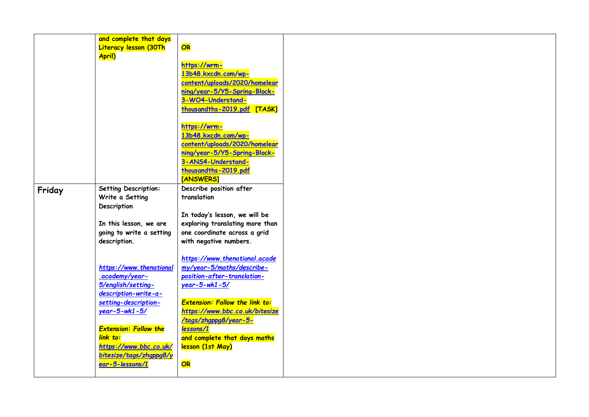|        | and complete that days                 |                                            |
|--------|----------------------------------------|--------------------------------------------|
|        | <b>Literacy lesson (30Th</b><br>April) | OR                                         |
|        |                                        | https://wrm-                               |
|        |                                        | 13b48.kxcdn.com/wp-                        |
|        |                                        | content/uploads/2020/homelear              |
|        |                                        | ning/year-5/Y5-Spring-Block-               |
|        |                                        | 3-WO4-Understand-                          |
|        |                                        | thousandths-2019.pdf [TASK]                |
|        |                                        | https://wrm-                               |
|        |                                        | 13b48.kxcdn.com/wp-                        |
|        |                                        | content/uploads/2020/homelear              |
|        |                                        | ning/year-5/Y5-Spring-Block-               |
|        |                                        | 3-ANS4-Understand-<br>thousandths-2019.pdf |
|        |                                        | [ANSWERS]                                  |
| Friday | <b>Setting Description:</b>            | Describe position after                    |
|        | Write a Setting                        | translation                                |
|        | Description                            |                                            |
|        |                                        | In today's lesson, we will be              |
|        | In this lesson, we are                 | exploring translating more than            |
|        | going to write a setting               | one coordinate across a grid               |
|        | description.                           | with negative numbers.                     |
|        |                                        | https://www.thenational.acade              |
|        | https://www.thenational                | my/year-5/maths/describe-                  |
|        | .academy/year-                         | position-after-translation-                |
|        | 5/english/setting-                     | $year - 5 - wk1 - 5/$                      |
|        | description-write-a-                   |                                            |
|        | setting-description-                   | <b>Extension: Follow the link to:</b>      |
|        | $year - 5 - wk1 - 5/$                  | https://www.bbc.co.uk/bitesize             |
|        | <b>Extension: Follow the</b>           | /tags/zhgppg8/year-5-<br>lessons/1         |
|        | link to:                               | and complete that days maths               |
|        | https://www.bbc.co.uk/                 | lesson (1st May)                           |
|        | bitesize/tags/zhqppq8/y                |                                            |
|        | ear-5-lessons/1                        | OR                                         |
|        |                                        |                                            |